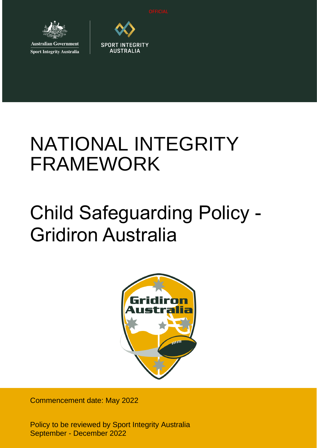

**Australian Government Sport Integrity Australia** 



**SPORT INTEGRITY** 

# NATIONAL INTEGRITY FRAMEWORK

# Child Safeguarding Policy - Gridiron Australia



Commencement date: May 2022

Policy to be reviewed by Sport Integrity Australia September - December 2022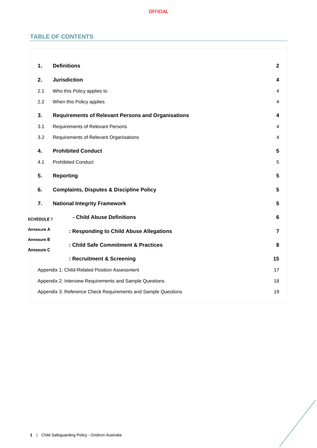# **TABLE OF CONTENTS**

| 1.                       | <b>Definitions</b>                                            | $\mathbf{2}$   |  |
|--------------------------|---------------------------------------------------------------|----------------|--|
| 2.                       | <b>Jurisdiction</b>                                           | 4              |  |
| 2.1                      | Who this Policy applies to                                    | 4              |  |
| 2.2                      | When this Policy applies                                      | 4              |  |
| 3.                       | <b>Requirements of Relevant Persons and Organisations</b>     | 4              |  |
| 3.1                      | Requirements of Relevant Persons                              | 4              |  |
| 3.2                      | Requirements of Relevant Organisations                        | 4              |  |
| 4.                       | <b>Prohibited Conduct</b>                                     | 5              |  |
| 4.1                      | <b>Prohibited Conduct</b>                                     | 5              |  |
| 5.                       | <b>Reporting</b>                                              | 5              |  |
| 6.                       | <b>Complaints, Disputes &amp; Discipline Policy</b>           | 5              |  |
| 7.                       | <b>National Integrity Framework</b>                           | 5              |  |
| <b>SCHEDULE 1</b>        | - Child Abuse Definitions                                     | 6              |  |
| <b>Annexure A</b>        | : Responding to Child Abuse Allegations                       | $\overline{7}$ |  |
| Annexure B<br>Annexure C | : Child Safe Commitment & Practices                           | 8              |  |
|                          | : Recruitment & Screening                                     | 15             |  |
|                          | Appendix 1: Child-Related Position Assessment                 | 17             |  |
|                          | Appendix 2: Interview Requirements and Sample Questions       | 18             |  |
|                          | Appendix 3: Reference Check Requirements and Sample Questions | 19             |  |
|                          |                                                               |                |  |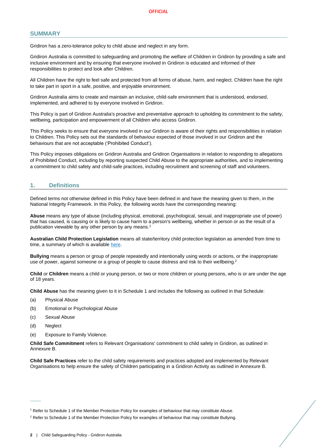# **SUMMARY**

Gridiron has a zero-tolerance policy to child abuse and neglect in any form.

Gridiron Australia is committed to safeguarding and promoting the welfare of Children in Gridiron by providing a safe and inclusive environment and by ensuring that everyone involved in Gridiron is educated and informed of their responsibilities to protect and look after Children.

All Children have the right to feel safe and protected from all forms of abuse, harm, and neglect. Children have the right to take part in sport in a safe, positive, and enjoyable environment.

Gridiron Australia aims to create and maintain an inclusive, child-safe environment that is understood, endorsed, implemented, and adhered to by everyone involved in Gridiron.

This Policy is part of Gridiron Australia's proactive and preventative approach to upholding its commitment to the safety, wellbeing, participation and empowerment of all Children who access Gridiron.

This Policy seeks to ensure that everyone involved in our Gridiron is aware of their rights and responsibilities in relation to Children. This Policy sets out the standards of behaviour expected of those involved in our Gridiron and the behaviours that are not acceptable ('Prohibited Conduct').

This Policy imposes obligations on Gridiron Australia and Gridiron Organisations in relation to responding to allegations of Prohibited Conduct, including by reporting suspected Child Abuse to the appropriate authorities, and to implementing a commitment to child safety and child-safe practices, including recruitment and screening of staff and volunteers.

# <span id="page-2-0"></span>**1. Definitions**

Defined terms not otherwise defined in this Policy have been defined in and have the meaning given to them, in the National Integrity Framework. In this Policy, the following words have the corresponding meaning:

**Abuse** means any type of abuse (including physical, emotional, psychological, sexual, and inappropriate use of power) that has caused, is causing or is likely to cause harm to a person's wellbeing, whether in person or as the result of a publication viewable by any other person by any means.<sup>1</sup>

**Australian Child Protection Legislation** means all state/territory child protection legislation as amended from time to time, a summary of which is available [here.](https://aifs.gov.au/cfca/publications/australian-child-protection-legislation)

**Bullying** means a person or group of people repeatedly and intentionally using words or actions, or the inappropriate use of power, against someone or a group of people to cause distress and risk to their wellbeing.<sup>2</sup>

**Child** or **Children** means a child or young person, or two or more children or young persons, who is or are under the age of 18 years.

**Child Abuse** has the meaning given to it in Schedule 1 and includes the following as outlined in that Schedule:

- (a) Physical Abuse
- (b) Emotional or Psychological Abuse
- (c) Sexual Abuse
- (d) Neglect

 $\overline{\phantom{a}}$ 

(e) Exposure to Family Violence.

**Child Safe Commitment** refers to Relevant Organisations' commitment to child safety in Gridiron, as outlined in Annexure B.

**Child Safe Practices** refer to the child safety requirements and practices adopted and implemented by Relevant Organisations to help ensure the safety of Children participating in a Gridiron Activity as outlined in Annexure B.

<sup>1</sup> Refer to Schedule 1 of the Member Protection Policy for examples of behaviour that may constitute Abuse.

<sup>&</sup>lt;sup>2</sup> Refer to Schedule 1 of the Member Protection Policy for examples of behaviour that may constitute Bullying.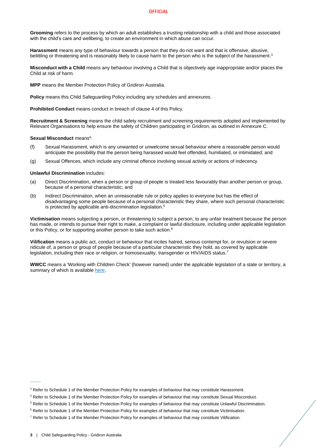**Grooming** refers to the process by which an adult establishes a trusting relationship with a child and those associated with the child's care and [wellbeing,](https://www.kidspot.com.au/lifestyle/entertainment/celebrity-news/blue-wiggle-says-he-caught-viral-meningitis-from-kids-at-concerts/news-story/57c5b6c145dc8eb7e8e278da61653ae1) to create an environment in which abuse can occur.

**Harassment** means any type of behaviour towards a person that they do not want and that is offensive, abusive, belittling or threatening and is reasonably likely to cause harm to the person who is the subject of the harassment.<sup>3</sup>

**Misconduct with a Child** means any behaviour involving a Child that is objectively age inappropriate and/or places the Child at risk of harm.

**MPP** means the Member Protection Policy of Gridiron Australia.

**Policy** means this Child Safeguarding Policy including any schedules and annexures.

**Prohibited Conduct** means conduct in breach of clause [4](#page-5-0) of this Policy.

**Recruitment & Screening** means the child safety recruitment and screening requirements adopted and implemented by Relevant Organisations to help ensure the safety of Children participating in Gridiron, as outlined in Annexure C.

Sexual Misconduct means<sup>4</sup>:

- (f) Sexual Harassment, which is any unwanted or unwelcome sexual behaviour where a reasonable person would anticipate the possibility that the person being harassed would feel offended, humiliated, or intimidated; and
- (g) Sexual Offences, which include any criminal offence involving sexual activity or actions of indecency.

**Unlawful Discrimination** includes:

- (a) Direct Discrimination, when a person or group of people is treated less favourably than another person or group, because of a personal characteristic; and
- (b) Indirect Discrimination, when an unreasonable rule or policy applies to everyone but has the effect of disadvantaging some people because of a personal characteristic they share, where such personal characteristic is protected by applicable anti-discrimination legislation.<sup>5</sup>

**Victimisation** means subjecting a person, or threatening to subject a person, to any unfair treatment because the person has made, or intends to pursue their right to make, a complaint or lawful disclosure, including under applicable legislation or this Policy, or for supporting another person to take such action.<sup>6</sup>

**Vilification** means a public act, conduct or behaviour that incites hatred, serious contempt for, or revulsion or severe ridicule of, a person or group of people because of a particular characteristic they hold, as covered by applicable legislation, including their race or religion, or homosexuality, transgender or HIV/AIDS status.<sup>7</sup>

**WWCC** means a 'Working with Children Check' (however named) under the applicable legislation of a state or territory, a summary of which is availabl[e here.](https://aifs.gov.au/cfca/publications/pre-employment-screening-working-children-checks-and-police-checks/part-b-state-and)

 $\overline{\phantom{a}}$ 

<sup>&</sup>lt;sup>3</sup> Refer to Schedule 1 of the Member Protection Policy for examples of behaviour that may constitute Harassment.

<sup>4</sup> Refer to Schedule 1 of the Member Protection Policy for examples of behaviour that may constitute Sexual Misconduct.

<sup>5</sup> Refer to Schedule 1 of the Member Protection Policy for examples of behaviour that may constitute Unlawful Discrimination.

<sup>&</sup>lt;sup>6</sup> Refer to Schedule 1 of the Member Protection Policy for examples of behaviour that may constitute Victimisation.

 $7$  Refer to Schedule 1 of the Member Protection Policy for examples of behaviour that may constitute Vilification.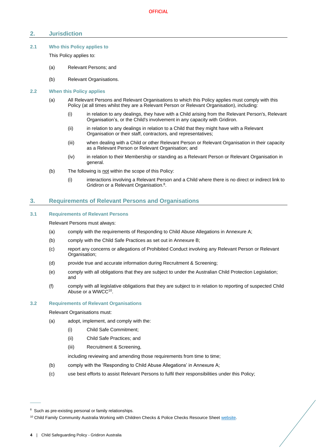# <span id="page-4-0"></span>**2. Jurisdiction**

# <span id="page-4-1"></span>**2.1 Who this Policy applies to**

This Policy applies to:

- (a) Relevant Persons; and
- (b) Relevant Organisations.

### <span id="page-4-2"></span>**2.2 When this Policy applies**

- (a) All Relevant Persons and Relevant Organisations to which this Policy applies must comply with this Policy (at all times whilst they are a Relevant Person or Relevant Organisation), including:
	- (i) in relation to any dealings, they have with a Child arising from the Relevant Person's, Relevant Organisation's, or the Child's involvement in any capacity with Gridiron.
	- (ii) in relation to any dealings in relation to a Child that they might have with a Relevant Organisation or their staff, contractors, and representatives;
	- (iii) when dealing with a Child or other Relevant Person or Relevant Organisation in their capacity as a Relevant Person or Relevant Organisation; and
	- (iv) in relation to their Membership or standing as a Relevant Person or Relevant Organisation in general.
- (b) The following is not within the scope of this Policy:
	- (i) interactions involving a Relevant Person and a Child where there is no direct or indirect link to Gridiron or a Relevant Organisation.<sup>8</sup>.

# <span id="page-4-3"></span>**3. Requirements of Relevant Persons and Organisations**

# <span id="page-4-4"></span>**3.1 Requirements of Relevant Persons**

Relevant Persons must always:

- (a) comply with the requirements of Responding to Child Abuse Allegations in Annexure A;
- (b) comply with the Child Safe Practices as set out in Annexure B;
- (c) report any concerns or allegations of Prohibited Conduct involving any Relevant Person or Relevant Organisation;
- (d) provide true and accurate information during Recruitment & Screening;
- (e) comply with all obligations that they are subject to under the Australian Child Protection Legislation; and
- (f) comply with all legislative obligations that they are subject to in relation to reporting of suspected Child Abuse or a WWCC<sup>10</sup>.

#### <span id="page-4-6"></span><span id="page-4-5"></span>**3.2 Requirements of Relevant Organisations**

Relevant Organisations must:

- (a) adopt, implement, and comply with the:
	- (i) Child Safe Commitment;
	- (ii) Child Safe Practices; and
	- (iii) Recruitment & Screening,

including reviewing and amending those requirements from time to time;

- <span id="page-4-7"></span>(b) comply with the 'Responding to Child Abuse Allegations' in Annexure A;
- (c) use best efforts to assist Relevant Persons to fulfil their responsibilities under this Policy;

 $\overline{\phantom{a}}$ 

<sup>&</sup>lt;sup>8</sup> Such as pre-existing personal or family relationships.

<sup>&</sup>lt;sup>10</sup> Child Family Community Australia Working with Children Checks & Police Checks Resource Shee[t website.](https://aifs.gov.au/cfca/publications/pre-employment-screening-working-children-checks-and-police-checks/part-b-state-and)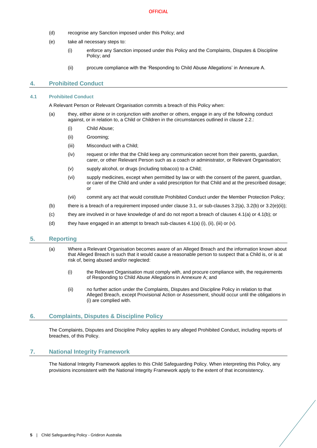- (d) recognise any Sanction imposed under this Policy; and
- (e) take all necessary steps to:
	- (i) enforce any Sanction imposed under this Policy and the Complaints, Disputes & Discipline Policy; and
	- (ii) procure compliance with the 'Responding to Child Abuse Allegations' in Annexure A.

# <span id="page-5-5"></span><span id="page-5-0"></span>**4. Prohibited Conduct**

#### <span id="page-5-6"></span><span id="page-5-1"></span>**4.1 Prohibited Conduct**

A Relevant Person or Relevant Organisation commits a breach of this Policy when:

- (a) they, either alone or in conjunction with another or others, engage in any of the following conduct against, or in relation to, a Child or Children in the circumstances outlined in clause 2.2.
	- (i) Child Abuse;
	- (ii) Grooming;
	- (iii) Misconduct with a Child;
	- (iv) request or infer that the Child keep any communication secret from their parents, guardian, carer, or other Relevant Person such as a coach or administrator, or Relevant Organisation;
	- (v) supply alcohol, or drugs (including tobacco) to a Child;
	- (vi) supply medicines, except when permitted by law or with the consent of the parent, guardian, or carer of the Child and under a valid prescription for that Child and at the prescribed dosage; or
	- (vii) commit any act that would constitute Prohibited Conduct under the Member Protection Policy;
- <span id="page-5-7"></span>(b) there is a breach of a requirement imposed under claus[e 3.1,](#page-4-4) or sub-clauses  $3.2(a)$ ,  $3.2(b)$  or  $3.2(e)(ii)$ ;
- (c) they are involved in or have knowledge of and do not report a breach of clauses [4.1\(a\)](#page-5-6) or [4.1\(b\);](#page-5-7) or
- (d) they have engaged in an attempt to breach sub-clauses  $4.1(a)$  (i), (ii), (iii) or (v).

# <span id="page-5-2"></span>**5. Reporting**

- (a) Where a Relevant Organisation becomes aware of an Alleged Breach and the information known about that Alleged Breach is such that it would cause a reasonable person to suspect that a Child is, or is at risk of, being abused and/or neglected:
	- (i) the Relevant Organisation must comply with, and procure compliance with, the requirements of Responding to Child Abuse Allegations in Annexure A; and
	- (ii) no further action under the Complaints, Disputes and Discipline Policy in relation to that Alleged Breach, except Provisional Action or Assessment, should occur until the obligations in (i) are complied with.

# <span id="page-5-3"></span>**6. Complaints, Disputes & Discipline Policy**

The Complaints, Disputes and Discipline Policy applies to any alleged Prohibited Conduct, including reports of breaches, of this Policy.

# <span id="page-5-4"></span>**7. National Integrity Framework**

The National Integrity Framework applies to this Child Safeguarding Policy. When interpreting this Policy, any provisions inconsistent with the National Integrity Framework apply to the extent of that inconsistency.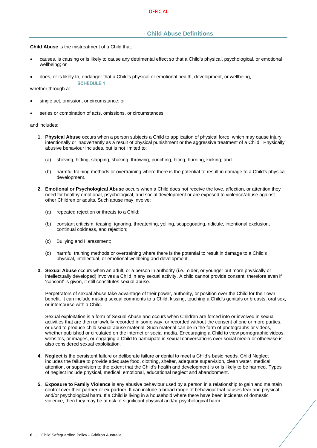# <span id="page-6-0"></span>**- Child Abuse Definitions**

**Child Abuse** is the mistreatment of a Child that:

- causes, is causing or is likely to cause any detrimental effect so that a Child's physical, psychological, or emotional wellbeing; or
- does, or is likely to, endanger that a Child's physical or emotional health, development, or wellbeing,

**SCHEDULE 1** 

whether through a:

- single act, omission, or circumstance; or
- series or combination of acts, omissions, or circumstances,

and includes:

- **1. Physical Abuse** occurs when a person subjects a Child to application of physical force, which may cause injury intentionally or inadvertently as a result of physical punishment or the aggressive treatment of a Child. Physically abusive behaviour includes, but is not limited to:
	- (a) shoving, hitting, slapping, shaking, throwing, punching, biting, burning, kicking; and
	- (b) harmful training methods or overtraining where there is the potential to result in damage to a Child's physical development.
- **2. Emotional or Psychological Abuse** occurs when a Child does not receive the love, affection, or attention they need for healthy emotional, psychological, and social development or are exposed to violence/abuse against other Children or adults. Such abuse may involve:
	- (a) repeated rejection or threats to a Child;
	- (b) constant criticism, teasing, ignoring, threatening, yelling, scapegoating, ridicule, intentional exclusion, continual coldness, and rejection;
	- (c) Bullying and Harassment;
	- (d) harmful training methods or overtraining where there is the potential to result in damage to a Child's physical, intellectual, or emotional wellbeing and development.
- **3. Sexual Abuse** occurs when an adult, or a person in authority (i.e., older, or younger but more physically or intellectually developed) involves a Child in any sexual activity. A child cannot provide consent, therefore even if 'consent' is given, it still constitutes sexual abuse.

Perpetrators of sexual abuse take advantage of their power, authority, or position over the Child for their own benefit. It can include making sexual comments to a Child, kissing, touching a Child's genitals or breasts, oral sex, or intercourse with a Child.

Sexual exploitation is a form of Sexual Abuse and occurs when Children are forced into or involved in sexual activities that are then unlawfully recorded in some way, or recorded without the consent of one or more parties, or used to produce child sexual abuse material. Such material can be in the form of photographs or videos, whether published or circulated on the internet or social media. Encouraging a Child to view pornographic videos, websites, or images, or engaging a Child to participate in sexual conversations over social media or otherwise is also considered sexual exploitation.

- **4. Neglect** is the persistent failure or deliberate failure or denial to meet a Child's basic needs. Child Neglect includes the failure to provide adequate food, clothing, shelter, adequate supervision, clean water, medical attention, or supervision to the extent that the Child's health and development is or is likely to be harmed. Types of neglect include physical, medical, emotional, educational neglect and abandonment.
- **5. Exposure to Family Violence** is any abusive behaviour used by a person in a relationship to gain and maintain control over their partner or ex-partner. It can include a broad range of behaviour that causes fear and physical and/or psychological harm. If a Child is living in a household where there have been incidents of domestic violence, then they may be at risk of significant physical and/or psychological harm.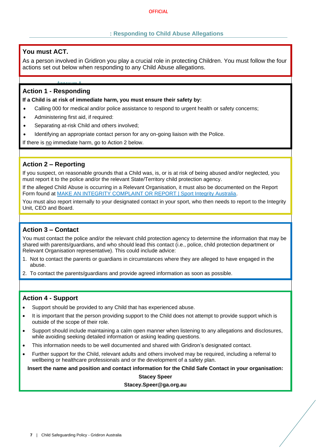# **: Responding to Child Abuse Allegations**

# <span id="page-7-0"></span>**You must ACT.**

As a person involved in Gridiron you play a crucial role in protecting Children. You must follow the four actions set out below when responding to any Child Abuse allegations.

# **Action 1 - Responding**

**If a Child is at risk of immediate harm, you must ensure their safety by:**

- Calling 000 for medical and/or police assistance to respond to urgent health or safety concerns;
- Administering first aid, if required:
- Separating at-risk Child and others involved;
- Identifying an appropriate contact person for any on-going liaison with the Police.

If there is no immediate harm, go to Action 2 below.

# **Action 2 – Reporting**

If you suspect, on reasonable grounds that a Child was, is, or is at risk of being abused and/or neglected, you must report it to the police and/or the relevant State/Territory child protection agency.

If the alleged Child Abuse is occurring in a Relevant Organisation, it must also be documented on the Report Form found at [MAKE AN INTEGRITY COMPLAINT OR REPORT | Sport Integrity Australia.](https://www.sportintegrity.gov.au/contact-us/make-an-integrity-complaint-or-report)

You must also report internally to your designated contact in your sport, who then needs to report to the Integrity Unit, CEO and Board.

# **Action 3 – Contact**

You must contact the police and/or the relevant child protection agency to determine the information that may be shared with parents/guardians, and who should lead this contact (i.e., police, child protection department or Relevant Organisation representative). This could include advice:

- 1. Not to contact the parents or guardians in circumstances where they are alleged to have engaged in the abuse.
- 2. To contact the parents/guardians and provide agreed information as soon as possible.

# **Action 4 - Support**

- Support should be provided to any Child that has experienced abuse.
- It is important that the person providing support to the Child does not attempt to provide support which is outside of the scope of their role.
- Support should include maintaining a calm open manner when listening to any allegations and disclosures, while avoiding seeking detailed information or asking leading questions.
- This information needs to be well documented and shared with Gridiron's designated contact.
- Further support for the Child, relevant adults and others involved may be required, including a referral to wellbeing or healthcare professionals and or the development of a safety plan.

**Insert the name and position and contact information for the Child Safe Contact in your organisation:**

**Stacey Speer**

**Stacey.Speer@ga.org.au**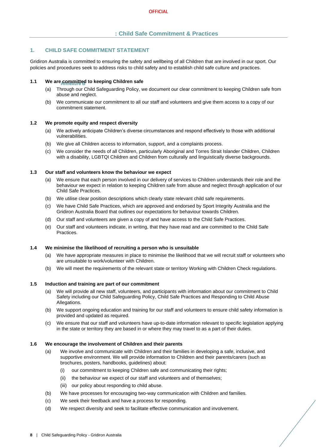# **: Child Safe Commitment & Practices**

# <span id="page-8-0"></span>**1. CHILD SAFE COMMITMENT STATEMENT**

Gridiron Australia is committed to ensuring the safety and wellbeing of all Children that are involved in our sport. Our policies and procedures seek to address risks to child safety and to establish child safe culture and practices.

#### **1.1 We are committed to keeping Children safe**

- (a) Through our Child Safeguarding Policy, we document our clear commitment to keeping Children safe from abuse and neglect.
- (b) We communicate our commitment to all our staff and volunteers and give them access to a copy of our commitment statement.

#### **1.2 We promote equity and respect diversity**

- (a) We actively anticipate Children's diverse circumstances and respond effectively to those with additional vulnerabilities.
- (b) We give all Children access to information, support, and a complaints process.
- (c) We consider the needs of all Children, particularly Aboriginal and Torres Strait Islander Children, Children with a disability, LGBTQI Children and Children from culturally and linguistically diverse backgrounds.

# **1.3 Our staff and volunteers know the behaviour we expect**

- (a) We ensure that each person involved in our delivery of services to Children understands their role and the behaviour we expect in relation to keeping Children safe from abuse and neglect through application of our Child Safe Practices.
- (b) We utilise clear position descriptions which clearly state relevant child safe requirements.
- (c) We have Child Safe Practices, which are approved and endorsed by Sport Integrity Australia and the Gridiron Australia Board that outlines our expectations for behaviour towards Children.
- (d) Our staff and volunteers are given a copy of and have access to the Child Safe Practices.
- (e) Our staff and volunteers indicate, in writing, that they have read and are committed to the Child Safe Practices.

#### **1.4 We minimise the likelihood of recruiting a person who is unsuitable**

- (a) We have appropriate measures in place to minimise the likelihood that we will recruit staff or volunteers who are unsuitable to work/volunteer with Children.
- (b) We will meet the requirements of the relevant state or territory Working with Children Check regulations.

#### **1.5 Induction and training are part of our commitment**

- (a) We will provide all new staff, volunteers, and participants with information about our commitment to Child Safety including our Child Safeguarding Policy, Child Safe Practices and Responding to Child Abuse Allegations.
- (b) We support ongoing education and training for our staff and volunteers to ensure child safety information is provided and updated as required.
- (c) We ensure that our staff and volunteers have up-to-date information relevant to specific legislation applying in the state or territory they are based in or where they may travel to as a part of their duties.

#### **1.6 We encourage the involvement of Children and their parents**

- (a) We involve and communicate with Children and their families in developing a safe, inclusive, and supportive environment. We will provide information to Children and their parents/carers (such as brochures, posters, handbooks, guidelines) about:
	- (i) our commitment to keeping Children safe and communicating their rights;
	- (ii) the behaviour we expect of our staff and volunteers and of themselves;
	- (iii) our policy about responding to child abuse.
- (b) We have processes for encouraging two-way communication with Children and families.
- (c) We seek their feedback and have a process for responding.
- (d) We respect diversity and seek to facilitate effective communication and involvement.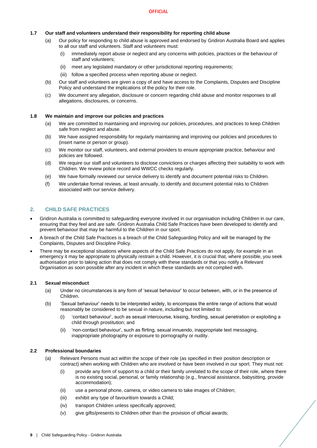# **1.7 Our staff and volunteers understand their responsibility for reporting child abuse**

- (a) Our policy for responding to child abuse is approved and endorsed by Gridiron Australia Board and applies to all our staff and volunteers. Staff and volunteers must:
	- (i) immediately report abuse or neglect and any concerns with policies, practices or the behaviour of staff and volunteers;
	- (ii) meet any legislated mandatory or other jurisdictional reporting requirements;
	- (iii) follow a specified process when reporting abuse or neglect.
- (b) Our staff and volunteers are given a copy of and have access to the Complaints, Disputes and Discipline Policy and understand the implications of the policy for their role.
- (c) We document any allegation, disclosure or concern regarding child abuse and monitor responses to all allegations, disclosures, or concerns.

#### **1.8 We maintain and improve our policies and practices**

- (a) We are committed to maintaining and improving our policies, procedures, and practices to keep Children safe from neglect and abuse.
- (b) We have assigned responsibility for regularly maintaining and improving our policies and procedures to (insert name or person or group).
- (c) We monitor our staff, volunteers, and external providers to ensure appropriate practice, behaviour and policies are followed.
- (d) We require our staff and volunteers to disclose convictions or charges affecting their suitability to work with Children. We review police record and WWCC checks regularly.
- (e) We have formally reviewed our service delivery to identify and document potential risks to Children.
- (f) We undertake formal reviews, at least annually, to identify and document potential risks to Children associated with our service delivery.

# **2. CHILD SAFE PRACTICES**

- Gridiron Australia is committed to safeguarding everyone involved in our organisation including Children in our care, ensuring that they feel and are safe. Gridiron Australia Child Safe Practices have been developed to identify and prevent behaviour that may be harmful to the Children in our sport.
- A breach of the Child Safe Practices is a breach of the Child Safeguarding Policy and will be managed by the Complaints, Disputes and Discipline Policy.
- There may be exceptional situations where aspects of the Child Safe Practices do not apply, for example in an emergency it may be appropriate to physically restrain a child. However, it is crucial that, where possible, you seek authorisation prior to taking action that does not comply with these standards or that you notify a Relevant Organisation as soon possible after any incident in which these standards are not complied with.

# **2.1 Sexual misconduct**

- (a) Under no circumstances is any form of 'sexual behaviour' to occur between, with, or in the presence of Children.
- (b) 'Sexual behaviour' needs to be interpreted widely, to encompass the entire range of actions that would reasonably be considered to be sexual in nature, including but not limited to:
	- (i) 'contact behaviour', such as sexual intercourse, kissing, fondling, sexual penetration or exploiting a child through prostitution; and
	- (ii) 'non-contact behaviour', such as flirting, sexual innuendo, inappropriate text messaging, inappropriate photography or exposure to pornography or nudity.

#### **2.2 Professional boundaries**

- (a) Relevant Persons must act within the scope of their role (as specified in their position description or contract) when working with Children who are involved or have been involved in our sport. They must not:
	- (i) provide any form of support to a child or their family unrelated to the scope of their role, where there is no existing social, personal, or family relationship (e.g., financial assistance, babysitting, provide accommodation);
	- (ii) use a personal phone, camera, or video camera to take images of Children;
	- (iii) exhibit any type of favouritism towards a Child;
	- (iv) transport Children unless specifically approved;
	- (v) give gifts/presents to Children other than the provision of official awards;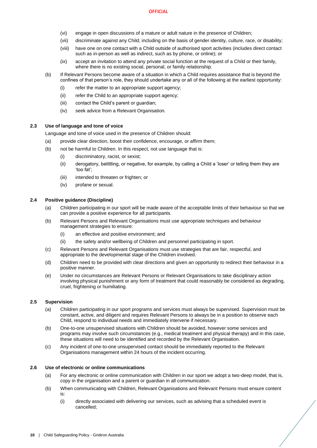- (vi) engage in open discussions of a mature or adult nature in the presence of Children;
- (vii) discriminate against any Child, including on the basis of gender identity, culture, race, or disability;
- (viii) have one on one contact with a Child outside of authorised sport activities (includes direct contact such as in-person as well as indirect, such as by phone, or online); or
- (ix) accept an invitation to attend any private social function at the request of a Child or their family, where there is no existing social, personal, or family relationship.
- (b) If Relevant Persons become aware of a situation in which a Child requires assistance that is beyond the confines of that person's role, they should undertake any or all of the following at the earliest opportunity:
	- (i) refer the matter to an appropriate support agency;
	- (ii) refer the Child to an appropriate support agency;
	- (iii) contact the Child's parent or guardian;
	- (iv) seek advice from a Relevant Organisation.

# **2.3 Use of language and tone of voice**

Language and tone of voice used in the presence of Children should:

- (a) provide clear direction, boost their confidence, encourage, or affirm them;
- (b) not be harmful to Children. In this respect, not use language that is:
	- (i) discriminatory, racist, or sexist;
	- (ii) derogatory, belittling, or negative, for example, by calling a Child a 'loser' or telling them they are 'too fat';
	- (iii) intended to threaten or frighten; or
	- (iv) profane or sexual.

# **2.4 Positive guidance (Discipline)**

- (a) Children participating in our sport will be made aware of the acceptable limits of their behaviour so that we can provide a positive experience for all participants.
- (b) Relevant Persons and Relevant Organisations must use appropriate techniques and behaviour management strategies to ensure:
	- (i) an effective and positive environment; and
	- (ii) the safety and/or wellbeing of Children and personnel participating in sport.
- (c) Relevant Persons and Relevant Organisations must use strategies that are fair, respectful, and appropriate to the developmental stage of the Children involved.
- (d) Children need to be provided with clear directions and given an opportunity to redirect their behaviour in a positive manner.
- (e) Under no circumstances are Relevant Persons or Relevant Organisations to take disciplinary action involving physical punishment or any form of treatment that could reasonably be considered as degrading, cruel, frightening or humiliating.

# **2.5 Supervision**

- (a) Children participating in our sport programs and services must always be supervised. Supervision must be constant, active, and diligent and requires Relevant Persons to always be in a position to observe each Child, respond to individual needs and immediately intervene if necessary.
- (b) One-to-one unsupervised situations with Children should be avoided, however some services and programs may involve such circumstances (e.g., medical treatment and physical therapy) and in this case, these situations will need to be identified and recorded by the Relevant Organisation.
- (c) Any incident of one-to-one unsupervised contact should be immediately reported to the Relevant Organisations management within 24 hours of the incident occurring.

#### **2.6 Use of electronic or online communications**

- (a) For any electronic or online communication with Children in our sport we adopt a two-deep model, that is, copy in the organisation and a parent or guardian in all communication.
- (b) When communicating with Children, Relevant Organisations and Relevant Persons must ensure content is:
	- (i) directly associated with delivering our services, such as advising that a scheduled event is cancelled;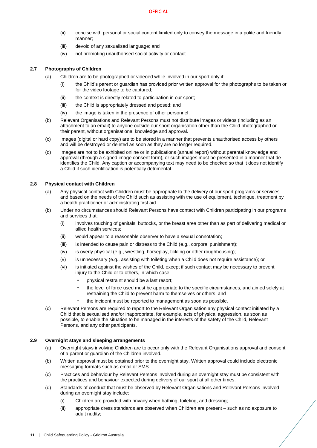- (ii) concise with personal or social content limited only to convey the message in a polite and friendly manner;
- (iii) devoid of any sexualised language; and
- (iv) not promoting unauthorised social activity or contact.

# **2.7 Photographs of Children**

- (a) Children are to be photographed or videoed while involved in our sport only if:
	- (i) the Child's parent or guardian has provided prior written approval for the photographs to be taken or for the video footage to be captured;
	- (ii) the context is directly related to participation in our sport;
	- (iii) the Child is appropriately dressed and posed; and
	- (iv) the image is taken in the presence of other personnel.
- (b) Relevant Organisations and Relevant Persons must not distribute images or videos (including as an attachment to an email) to anyone outside our sport organisation other than the Child photographed or their parent, without organisational knowledge and approval.
- (c) Images (digital or hard copy) are to be stored in a manner that prevents unauthorised access by others and will be destroyed or deleted as soon as they are no longer required.
- (d) Images are not to be exhibited online or in publications (annual report) without parental knowledge and approval (through a signed image consent form), or such images must be presented in a manner that deidentifies the Child. Any caption or accompanying text may need to be checked so that it does not identify a Child if such identification is potentially detrimental.

# **2.8 Physical contact with Children**

- (a) Any physical contact with Children must be appropriate to the delivery of our sport programs or services and based on the needs of the Child such as assisting with the use of equipment, technique, treatment by a health practitioner or administrating first aid.
- (b) Under no circumstances should Relevant Persons have contact with Children participating in our programs and services that:
	- (i) involves touching of genitals, buttocks, or the breast area other than as part of delivering medical or allied health services;
	- (ii) would appear to a reasonable observer to have a sexual connotation;
	- (iii) is intended to cause pain or distress to the Child (e.g., corporal punishment);
	- (iv) is overly physical (e.g., wrestling, horseplay, tickling or other roughhousing);
	- (v) is unnecessary (e.g., assisting with toileting when a Child does not require assistance); or
	- (vi) is initiated against the wishes of the Child, except if such contact may be necessary to prevent injury to the Child or to others, in which case:
		- physical restraint should be a last resort;
		- the level of force used must be appropriate to the specific circumstances, and aimed solely at restraining the Child to prevent harm to themselves or others; and
		- the incident must be reported to management as soon as possible.
- (c) Relevant Persons are required to report to the Relevant Organisation any physical contact initiated by a Child that is sexualised and/or inappropriate, for example, acts of physical aggression, as soon as possible, to enable the situation to be managed in the interests of the safety of the Child, Relevant Persons, and any other participants.

# **2.9 Overnight stays and sleeping arrangements**

- (a) Overnight stays involving Children are to occur only with the Relevant Organisations approval and consent of a parent or guardian of the Children involved.
- (b) Written approval must be obtained prior to the overnight stay. Written approval could include electronic messaging formats such as email or SMS.
- (c) Practices and behaviour by Relevant Persons involved during an overnight stay must be consistent with the practices and behaviour expected during delivery of our sport at all other times.
- (d) Standards of conduct that must be observed by Relevant Organisations and Relevant Persons involved during an overnight stay include:
	- (i) Children are provided with privacy when bathing, toileting, and dressing;
	- (ii) appropriate dress standards are observed when Children are present such as no exposure to adult nudity;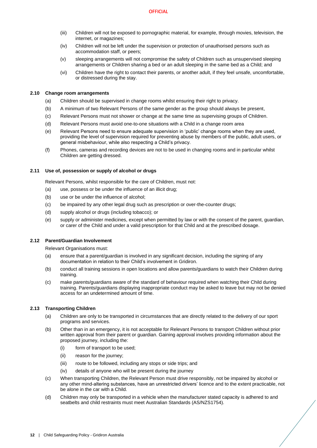- (iii) Children will not be exposed to pornographic material, for example, through movies, television, the internet, or magazines;
- (iv) Children will not be left under the supervision or protection of unauthorised persons such as accommodation staff, or peers;
- (v) sleeping arrangements will not compromise the safety of Children such as unsupervised sleeping arrangements or Children sharing a bed or an adult sleeping in the same bed as a Child; and
- (vi) Children have the right to contact their parents, or another adult, if they feel unsafe, uncomfortable, or distressed during the stay.

# **2.10 Change room arrangements**

- (a) Children should be supervised in change rooms whilst ensuring their right to privacy.
- (b) A minimum of two Relevant Persons of the same gender as the group should always be present,
- (c) Relevant Persons must not shower or change at the same time as supervising groups of Children.
- (d) Relevant Persons must avoid one-to-one situations with a Child in a change room area
- (e) Relevant Persons need to ensure adequate supervision in 'public' change rooms when they are used, providing the level of supervision required for preventing abuse by members of the public, adult users, or general misbehaviour, while also respecting a Child's privacy.
- (f) Phones, cameras and recording devices are not to be used in changing rooms and in particular whilst Children are getting dressed.

# **2.11 Use of, possession or supply of alcohol or drugs**

Relevant Persons, whilst responsible for the care of Children, must not:

- (a) use, possess or be under the influence of an illicit drug;
- (b) use or be under the influence of alcohol;
- (c) be impaired by any other legal drug such as prescription or over-the-counter drugs;
- (d) supply alcohol or drugs (including tobacco); or
- (e) supply or administer medicines, except when permitted by law or with the consent of the parent, guardian, or carer of the Child and under a valid prescription for that Child and at the prescribed dosage.

# **2.12 Parent/Guardian Involvement**

Relevant Organisations must:

- (a) ensure that a parent/guardian is involved in any significant decision, including the signing of any documentation in relation to their Child's involvement in Gridiron.
- (b) conduct all training sessions in open locations and allow parents/guardians to watch their Children during training.
- (c) make parents/guardians aware of the standard of behaviour required when watching their Child during training. Parents/guardians displaying inappropriate conduct may be asked to leave but may not be denied access for an undetermined amount of time.

# **2.13 Transporting Children**

- (a) Children are only to be transported in circumstances that are directly related to the delivery of our sport programs and services.
- (b) Other than in an emergency, it is not acceptable for Relevant Persons to transport Children without prior written approval from their parent or guardian. Gaining approval involves providing information about the proposed journey, including the:
	- (i) form of transport to be used;
	- (ii) reason for the journey;
	- (iii) route to be followed, including any stops or side trips; and
	- (iv) details of anyone who will be present during the journey
- (c) When transporting Children, the Relevant Person must drive responsibly, not be impaired by alcohol or any other mind-altering substances, have an unrestricted drivers' licence and to the extent practicable, not be alone in the car with a Child.
- (d) Children may only be transported in a vehicle when the manufacturer stated capacity is adhered to and seatbelts and child restraints must meet Australian Standards (AS/NZS1754).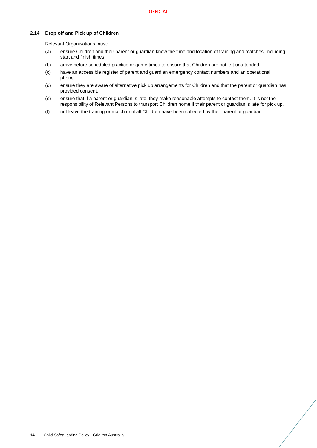# **2.14 Drop off and Pick up of Children**

Relevant Organisations must:

- (a) ensure Children and their parent or guardian know the time and location of training and matches, including start and finish times.
- (b) arrive before scheduled practice or game times to ensure that Children are not left unattended.
- (c) have an accessible register of parent and guardian emergency contact numbers and an operational phone.
- (d) ensure they are aware of alternative pick up arrangements for Children and that the parent or guardian has provided consent.
- (e) ensure that if a parent or guardian is late, they make reasonable attempts to contact them. It is not the responsibility of Relevant Persons to transport Children home if their parent or guardian is late for pick up.
- (f) not leave the training or match until all Children have been collected by their parent or guardian.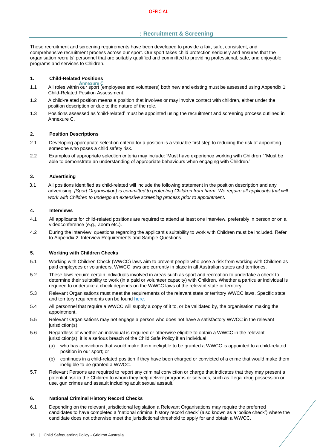# **: Recruitment & Screening**

<span id="page-15-0"></span>These recruitment and screening requirements have been developed to provide a fair, safe, consistent, and comprehensive recruitment process across our sport. Our sport takes child protection seriously and ensures that the organisation recruits' personnel that are suitably qualified and committed to providing professional, safe, and enjoyable programs and services to Children.

# **1. Child-Related Positions**

- 1.1 All roles within our sport (employees and volunteers) both new and existing must be assessed using Appendix 1: Child-Related Position Assessment.
- 1.2 A child-related position means a position that involves or may involve contact with children, either under the position description or due to the nature of the role.
- 1.3 Positions assessed as 'child-related' must be appointed using the recruitment and screening process outlined in Annexure C.

# **2. Position Descriptions**

- 2.1 Developing appropriate selection criteria for a position is a valuable first step to reducing the risk of appointing someone who poses a child safety risk.
- 2.2 Examples of appropriate selection criteria may include: 'Must have experience working with Children.' 'Must be able to demonstrate an understanding of appropriate behaviours when engaging with Children.'

# **3. Advertising**

3.1 All positions identified as child-related will include the following statement in the position description and any advertising: *{Sport Organisation} is committed to protecting Children from harm. We require all applicants that will work with Children to undergo an extensive screening process prior to appointment.*

#### **4. Interviews**

- 4.1 All applicants for child-related positions are required to attend at least one interview, preferably in person or on a videoconference (e.g., Zoom etc.).
- 4.2 During the interview, questions regarding the applicant's suitability to work with Children must be included. Refer to Appendix 2: Interview Requirements and Sample Questions.

### **5. Working with Children Checks**

- 5.1 Working with Children Check (WWCC) laws aim to prevent people who pose a risk from working with Children as paid employees or volunteers. WWCC laws are currently in place in all Australian states and territories.
- 5.2 These laws require certain individuals involved in areas such as sport and recreation to undertake a check to determine their suitability to work (in a paid or volunteer capacity) with Children. Whether a particular individual is required to undertake a check depends on the WWCC laws of the relevant state or territory.
- 5.3 Relevant Organisations must meet the requirements of the relevant state or territory WWCC laws. Specific state and territory requirements can be found [here.](https://aifs.gov.au/cfca/publications/pre-employment-screening-working-children-checks-and-police-checks/part-b-state-and)
- 5.4 All personnel that require a WWCC will supply a copy of it to, or be validated by, the organisation making the appointment.
- 5.5 Relevant Organisations may not engage a person who does not have a satisfactory WWCC in the relevant jurisdiction(s).
- 5.6 Regardless of whether an individual is required or otherwise eligible to obtain a WWCC in the relevant jurisdiction(s), it is a serious breach of the Child Safe Policy if an individual:
	- (a) who has convictions that would make them ineligible to be granted a WWCC is appointed to a child-related position in our sport; or
	- (b) continues in a child-related position if they have been charged or convicted of a crime that would make them ineligible to be granted a WWCC.
- 5.7 Relevant Persons are required to report any criminal conviction or charge that indicates that they may present a potential risk to the Children to whom they help deliver programs or services, such as illegal drug possession or use, gun crimes and assault including adult sexual assault.

#### **6. National Criminal History Record Checks**

6.1 Depending on the relevant jurisdictional legislation a Relevant Organisations may require the preferred candidates to have completed a 'national criminal history record check' (also known as a 'police check') where the candidate does not otherwise meet the jurisdictional threshold to apply for and obtain a WWCC.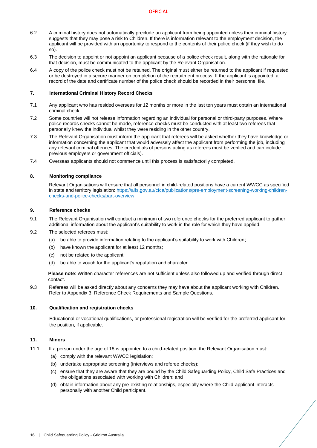- 6.2 A criminal history does not automatically preclude an applicant from being appointed unless their criminal history suggests that they may pose a risk to Children. If there is information relevant to the employment decision, the applicant will be provided with an opportunity to respond to the contents of their police check (if they wish to do so).
- 6.3 The decision to appoint or not appoint an applicant because of a police check result, along with the rationale for that decision, must be communicated to the applicant by the Relevant Organisation.
- 6.4 A copy of the police check must not be retained. The original must either be returned to the applicant if requested or be destroyed in a secure manner on completion of the recruitment process. If the applicant is appointed, a record of the date and certificate number of the police check should be recorded in their personnel file.

#### **7. International Criminal History Record Checks**

- 7.1 Any applicant who has resided overseas for 12 months or more in the last ten years must obtain an international criminal check.
- 7.2 Some countries will not release information regarding an individual for personal or third-party purposes. Where police records checks cannot be made, reference checks must be conducted with at least two referees that personally knew the individual whilst they were residing in the other country.
- 7.3 The Relevant Organisation must inform the applicant that referees will be asked whether they have knowledge or information concerning the applicant that would adversely affect the applicant from performing the job, including any relevant criminal offences. The credentials of persons acting as referees must be verified and can include previous employers or government officials).
- 7.4 Overseas applicants should not commence until this process is satisfactorily completed.

#### **8. Monitoring compliance**

Relevant Organisations will ensure that all personnel in child-related positions have a current WWCC as specified in state and territory legislation: [https://aifs.gov.au/cfca/publications/pre-employment-screening-working-children](https://aifs.gov.au/cfca/publications/pre-employment-screening-working-children-checks-and-police-checks/part-overview)[checks-and-police-checks/part-overview](https://aifs.gov.au/cfca/publications/pre-employment-screening-working-children-checks-and-police-checks/part-overview)

#### **9. Reference checks**

- 9.1 The Relevant Organisation will conduct a minimum of two reference checks for the preferred applicant to gather additional information about the applicant's suitability to work in the role for which they have applied.
- 9.2 The selected referees must:
	- (a) be able to provide information relating to the applicant's suitability to work with Children;
	- (b) have known the applicant for at least 12 months;
	- (c) not be related to the applicant;
	- (d) be able to vouch for the applicant's reputation and character.

**Please note**: Written character references are not sufficient unless also followed up and verified through direct contact.

9.3 Referees will be asked directly about any concerns they may have about the applicant working with Children. Refer to Appendix 3: Reference Check Requirements and Sample Questions.

#### **10. Qualification and registration checks**

Educational or vocational qualifications, or professional registration will be verified for the preferred applicant for the position, if applicable.

# **11. Minors**

- 11.1 If a person under the age of 18 is appointed to a child-related position, the Relevant Organisation must:
	- (a) comply with the relevant WWCC legislation;
	- (b) undertake appropriate screening (interviews and referee checks);
	- (c) ensure that they are aware that they are bound by the Child Safeguarding Policy, Child Safe Practices and the obligations associated with working with Children; and
	- (d) obtain information about any pre-existing relationships, especially where the Child-applicant interacts personally with another Child participant.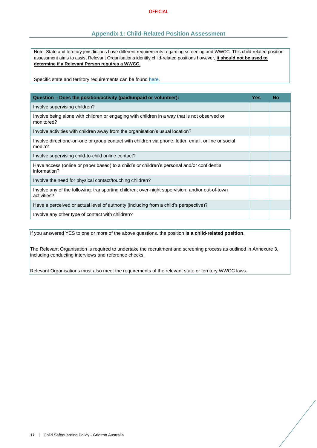# **Appendix 1: Child-Related Position Assessment**

<span id="page-17-0"></span>Note: State and territory jurisdictions have different requirements regarding screening and WWCC. This child-related position assessment aims to assist Relevant Organisations identify child-related positions however, **it should not be used to determine if a Relevant Person requires a WWCC.**

Specific state and territory requirements can be found [here.](https://aifs.gov.au/cfca/publications/pre-employment-screening-working-children-checks-and-police-checks/part-b-state-and)

| Question - Does the position/activity (paid/unpaid or volunteer):                                              | Yes | <b>No</b> |
|----------------------------------------------------------------------------------------------------------------|-----|-----------|
| Involve supervising children?                                                                                  |     |           |
| Involve being alone with children or engaging with children in a way that is not observed or<br>monitored?     |     |           |
| Involve activities with children away from the organisation's usual location?                                  |     |           |
| Involve direct one-on-one or group contact with children via phone, letter, email, online or social<br>media?  |     |           |
| Involve supervising child-to-child online contact?                                                             |     |           |
| Have access (online or paper based) to a child's or children's personal and/or confidential<br>information?    |     |           |
| Involve the need for physical contact/touching children?                                                       |     |           |
| Involve any of the following: transporting children; over-night supervision; and/or out-of-town<br>activities? |     |           |
| Have a perceived or actual level of authority (including from a child's perspective)?                          |     |           |
| Involve any other type of contact with children?                                                               |     |           |

If you answered YES to one or more of the above questions, the position **is a child-related position**.

The Relevant Organisation is required to undertake the recruitment and screening process as outlined in Annexure 3, including conducting interviews and reference checks.

Relevant Organisations must also meet the requirements of the relevant state or territory WWCC laws.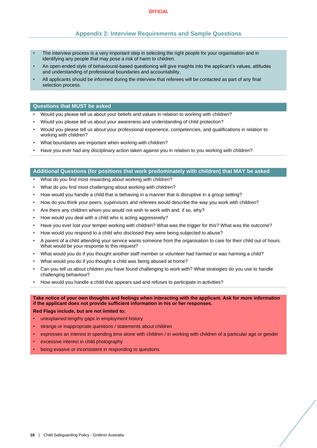# **Appendix 2: Interview Requirements and Sample Questions**

- <span id="page-18-0"></span>The interview process is a very important step in selecting the right people for your organisation and in identifying any people that may pose a risk of harm to children.
- An open-ended style of behavioural-based questioning will give insights into the applicant's values, attitudes and understanding of professional boundaries and accountability.
- All applicants should be informed during the interview that referees will be contacted as part of any final selection process.

### **Questions that MUST be asked**

- Would you please tell us about your beliefs and values in relation to working with children?
- Would you please tell us about your awareness and understanding of child protection?
- Would you please tell us about your professional experience, competencies, and qualifications in relation to working with children?
- What boundaries are important when working with children?
- Have you ever had any disciplinary action taken against you in relation to you working with children?

# **Additional Questions (for positions that work predominately with children) that MAY be asked**

- What do you find most rewarding about working with children?
- What do you find most challenging about working with children?
- How would you handle a child that is behaving in a manner that is disruptive in a group setting?
- How do you think your peers, supervisors and referees would describe the way you work with children?
- Are there any children whom you would not wish to work with and, if so, why?
- How would you deal with a child who is acting aggressively?
- Have you ever lost your temper working with children? What was the trigger for this? What was the outcome?
- How would you respond to a child who disclosed they were being subjected to abuse?
- A parent of a child attending your service wants someone from the organisation to care for their child out of hours. What would be your response to this request?
- What would you do if you thought another staff member or volunteer had harmed or was harming a child?
- What would you do if you thought a child was being abused at home?
- Can you tell us about children you have found challenging to work with? What strategies do you use to handle challenging behaviour?
- How would you handle a child that appears sad and refuses to participate in activities?

# **Take notice of your own thoughts and feelings when interacting with the applicant. Ask for more information if the applicant does not provide sufficient information in his or her responses.**

**Red Flags include, but are not limited to:**

- unexplained lengthy gaps in employment history
- strange or inappropriate questions / statements about children
- expresses an interest in spending time alone with children / in working with children of a particular age or gender
- excessive interest in child photography
- being evasive or inconsistent in responding to questions.